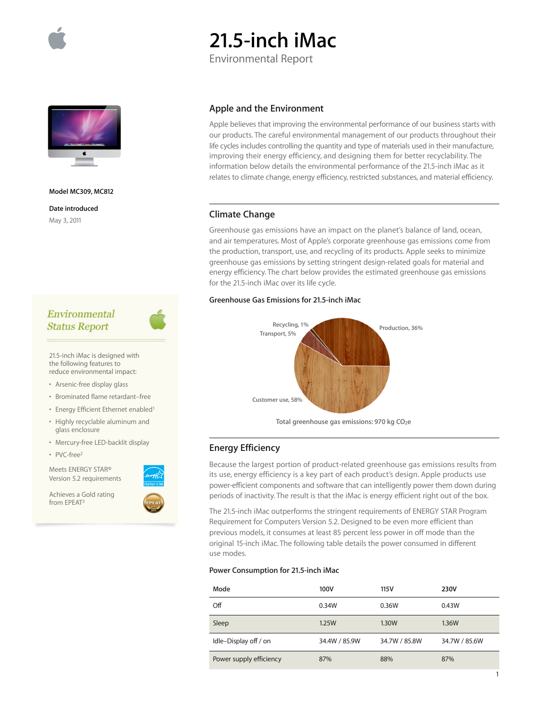

# **21.5-inch iMac**

Environmental Report



#### **Model MC309, MC812**

**Date introduced** May 3, 2011

# Environmental **Status Report**

21.5-inch iMac is designed with the following features to reduce environmental impact:

- Arsenic-free display glass
- Brominated flame retardant–free
- Energy Efficient Ethernet enabled<sup>1</sup>
- Highly recyclable aluminum and glass enclosure
- Mercury-free LED-backlit display
- PVC-free2

Meets ENERGY STAR® Version 5.2 requirements

Achieves a Gold rating from EPEAT3



## **Apple and the Environment**

Apple believes that improving the environmental performance of our business starts with our products. The careful environmental management of our products throughout their life cycles includes controlling the quantity and type of materials used in their manufacture, improving their energy efficiency, and designing them for better recyclability. The information below details the environmental performance of the 21.5-inch iMac as it relates to climate change, energy efficiency, restricted substances, and material efficiency.

# **Climate Change**

Greenhouse gas emissions have an impact on the planet's balance of land, ocean, and air temperatures. Most of Apple's corporate greenhouse gas emissions come from the production, transport, use, and recycling of its products. Apple seeks to minimize greenhouse gas emissions by setting stringent design-related goals for material and energy efficiency. The chart below provides the estimated greenhouse gas emissions for the 21.5-inch iMac over its life cycle.

## **Greenhouse Gas Emissions for 21.5-inch iMac**



Total greenhouse gas emissions: 970 kg CO<sub>2</sub>e

# **Energy Efficiency**

Because the largest portion of product-related greenhouse gas emissions results from its use, energy efficiency is a key part of each product's design. Apple products use power-efficient components and software that can intelligently power them down during periods of inactivity. The result is that the iMac is energy efficient right out of the box.

The 21.5-inch iMac outperforms the stringent requirements of ENERGY STAR Program Requirement for Computers Version 5.2. Designed to be even more efficient than previous models, it consumes at least 85 percent less power in off mode than the original 15-inch iMac. The following table details the power consumed in different use modes.

## **Power Consumption for 21.5-inch iMac**

| Mode                    | 100V          | 115V          | 230V          |
|-------------------------|---------------|---------------|---------------|
| Off                     | 0.34W         | 0.36W         | 0.43W         |
| Sleep                   | 1.25W         | 1.30W         | <b>1.36W</b>  |
| Idle-Display off / on   | 34.4W / 85.9W | 34.7W / 85.8W | 34.7W / 85.6W |
| Power supply efficiency | 87%           | 88%           | 87%           |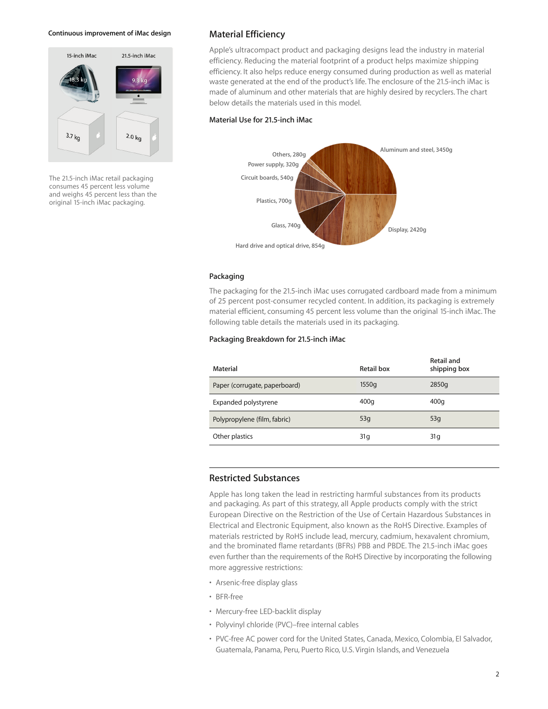#### **Continuous improvement of iMac design**



The 21.5-inch iMac retail packaging consumes 45 percent less volume and weighs 45 percent less than the original 15-inch iMac packaging.

## **Material Efficiency**

Apple's ultracompact product and packaging designs lead the industry in material efficiency. Reducing the material footprint of a product helps maximize shipping efficiency. It also helps reduce energy consumed during production as well as material waste generated at the end of the product's life. The enclosure of the 21.5-inch iMac is made of aluminum and other materials that are highly desired by recyclers. The chart below details the materials used in this model.

#### **Material Use for 21.5-inch iMac**



## **Packaging**

The packaging for the 21.5-inch iMac uses corrugated cardboard made from a minimum of 25 percent post-consumer recycled content. In addition, its packaging is extremely material efficient, consuming 45 percent less volume than the original 15-inch iMac. The following table details the materials used in its packaging.

### **Packaging Breakdown for 21.5-inch iMac**

| Material                      | Retail box | Retail and<br>shipping box |
|-------------------------------|------------|----------------------------|
| Paper (corrugate, paperboard) | 1550g      | 2850g                      |
| Expanded polystyrene          | 400q       | 400q                       |
| Polypropylene (film, fabric)  | 53q        | 53q                        |
| Other plastics                | 31 g       | 31 g                       |

## **Restricted Substances**

Apple has long taken the lead in restricting harmful substances from its products and packaging. As part of this strategy, all Apple products comply with the strict European Directive on the Restriction of the Use of Certain Hazardous Substances in Electrical and Electronic Equipment, also known as the RoHS Directive. Examples of materials restricted by RoHS include lead, mercury, cadmium, hexavalent chromium, and the brominated flame retardants (BFRs) PBB and PBDE. The 21.5-inch iMac goes even further than the requirements of the RoHS Directive by incorporating the following more aggressive restrictions:

- Arsenic-free display glass
- BFR-free
- Mercury-free LED-backlit display
- Polyvinyl chloride (PVC)–free internal cables
- PVC-free AC power cord for the United States, Canada, Mexico, Colombia, El Salvador, Guatemala, Panama, Peru, Puerto Rico, U.S. Virgin Islands, and Venezuela